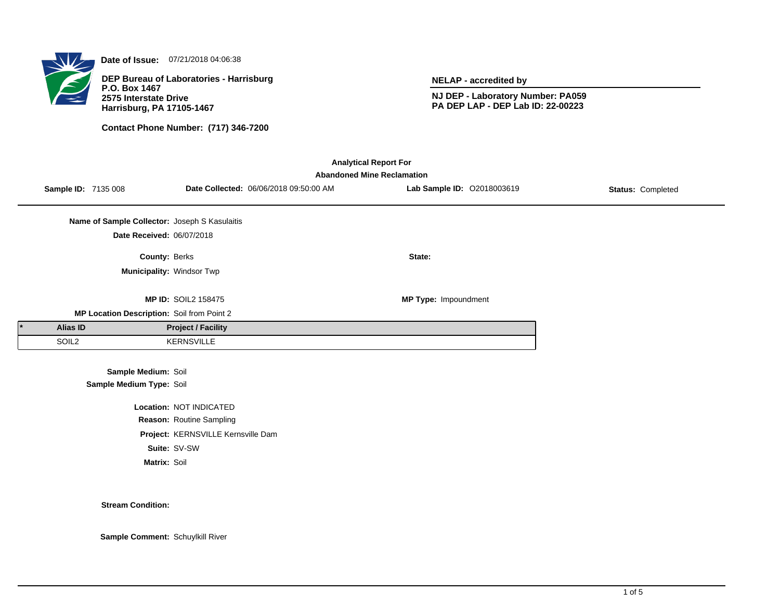

**Date of Issue:** 07/21/2018 04:06:38

**DEP Bureau of Laboratories - Harrisburg P.O. Box 1467 2575 Interstate Drive Harrisburg, PA 17105-1467**

**Contact Phone Number: (717) 346-7200**

**NELAP - accredited by**

**NJ DEP - Laboratory Number: PA059 PA DEP LAP - DEP Lab ID: 22-00223**

| <b>Analytical Report For</b><br><b>Abandoned Mine Reclamation</b> |                                               |                                    |                                        |                            |                          |  |  |
|-------------------------------------------------------------------|-----------------------------------------------|------------------------------------|----------------------------------------|----------------------------|--------------------------|--|--|
| <b>Sample ID: 7135 008</b>                                        |                                               |                                    | Date Collected: 06/06/2018 09:50:00 AM | Lab Sample ID: 02018003619 | <b>Status: Completed</b> |  |  |
|                                                                   | Name of Sample Collector: Joseph S Kasulaitis |                                    |                                        |                            |                          |  |  |
|                                                                   | Date Received: 06/07/2018                     |                                    |                                        |                            |                          |  |  |
|                                                                   | County: Berks                                 |                                    |                                        | State:                     |                          |  |  |
|                                                                   |                                               | Municipality: Windsor Twp          |                                        |                            |                          |  |  |
|                                                                   |                                               | <b>MP ID: SOIL2 158475</b>         |                                        | MP Type: Impoundment       |                          |  |  |
|                                                                   | MP Location Description: Soil from Point 2    |                                    |                                        |                            |                          |  |  |
| Alias ID                                                          |                                               | <b>Project / Facility</b>          |                                        |                            |                          |  |  |
| SOIL <sub>2</sub>                                                 |                                               | <b>KERNSVILLE</b>                  |                                        |                            |                          |  |  |
|                                                                   | Sample Medium: Soil                           |                                    |                                        |                            |                          |  |  |
|                                                                   | Sample Medium Type: Soil                      |                                    |                                        |                            |                          |  |  |
|                                                                   |                                               | Location: NOT INDICATED            |                                        |                            |                          |  |  |
|                                                                   |                                               | Reason: Routine Sampling           |                                        |                            |                          |  |  |
|                                                                   |                                               | Project: KERNSVILLE Kernsville Dam |                                        |                            |                          |  |  |

**Suite:** SV-SW

**Matrix:** Soil

**Stream Condition:**

**Sample Comment:** Schuylkill River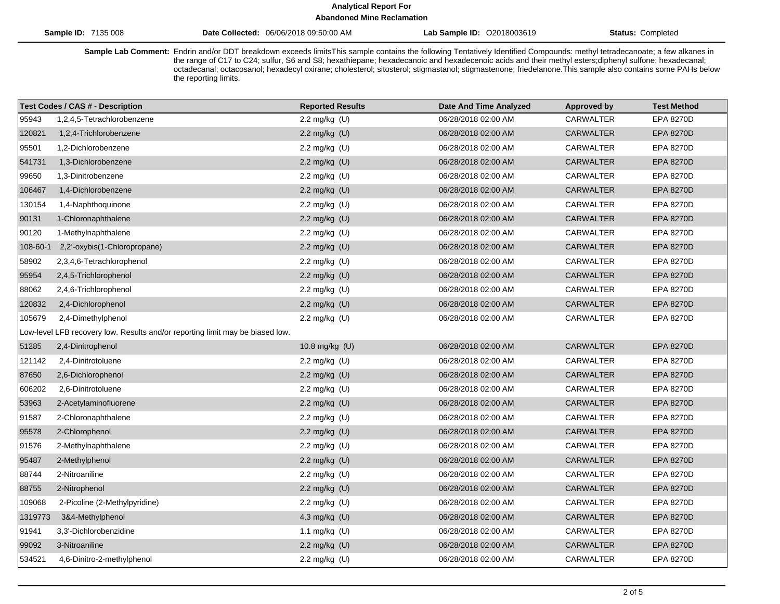# **Analytical Report For**

**Abandoned Mine Reclamation**

| 135 008<br>71 Q F<br>Sample ID | 06/06/2018 09:50:00 AM<br><b>Collected</b><br>Date | O2018003619<br>Sample ID<br>∟ab ' | Status:<br>Completed |
|--------------------------------|----------------------------------------------------|-----------------------------------|----------------------|
|                                |                                                    |                                   |                      |

Sample Lab Comment: Endrin and/or DDT breakdown exceeds limitsThis sample contains the following Tentatively Identified Compounds: methyl tetradecanoate; a few alkanes in the range of C17 to C24; sulfur, S6 and S8; hexathiepane; hexadecanoic and hexadecenoic acids and their methyl esters;diphenyl sulfone; hexadecanal; octadecanal; octacosanol; hexadecyl oxirane; cholesterol; sitosterol; stigmastanol; stigmastenone; friedelanone.This sample also contains some PAHs below the reporting limits.

| <b>Test Codes / CAS # - Description</b> |                                                                               | <b>Reported Results</b> | <b>Date And Time Analyzed</b> | <b>Approved by</b> | <b>Test Method</b> |  |  |
|-----------------------------------------|-------------------------------------------------------------------------------|-------------------------|-------------------------------|--------------------|--------------------|--|--|
| 95943                                   | 1,2,4,5-Tetrachlorobenzene                                                    | 2.2 mg/kg $(U)$         | 06/28/2018 02:00 AM           | <b>CARWALTER</b>   | EPA 8270D          |  |  |
| 120821                                  | 1,2,4-Trichlorobenzene                                                        | 2.2 mg/kg (U)           | 06/28/2018 02:00 AM           | <b>CARWALTER</b>   | <b>EPA 8270D</b>   |  |  |
| 95501                                   | 1,2-Dichlorobenzene                                                           | 2.2 mg/kg (U)           | 06/28/2018 02:00 AM           | CARWALTER          | EPA 8270D          |  |  |
| 541731                                  | 1,3-Dichlorobenzene                                                           | 2.2 mg/kg (U)           | 06/28/2018 02:00 AM           | <b>CARWALTER</b>   | EPA 8270D          |  |  |
| 99650                                   | 1,3-Dinitrobenzene                                                            | 2.2 mg/kg (U)           | 06/28/2018 02:00 AM           | CARWALTER          | EPA 8270D          |  |  |
| 106467                                  | 1,4-Dichlorobenzene                                                           | 2.2 mg/kg $(U)$         | 06/28/2018 02:00 AM           | <b>CARWALTER</b>   | <b>EPA 8270D</b>   |  |  |
| 130154                                  | 1,4-Naphthoquinone                                                            | 2.2 mg/kg (U)           | 06/28/2018 02:00 AM           | CARWALTER          | <b>EPA 8270D</b>   |  |  |
| 90131                                   | 1-Chloronaphthalene                                                           | 2.2 mg/kg (U)           | 06/28/2018 02:00 AM           | <b>CARWALTER</b>   | EPA 8270D          |  |  |
| 90120                                   | 1-Methylnaphthalene                                                           | 2.2 mg/kg (U)           | 06/28/2018 02:00 AM           | <b>CARWALTER</b>   | EPA 8270D          |  |  |
| 108-60-1                                | 2,2'-oxybis(1-Chloropropane)                                                  | 2.2 mg/kg (U)           | 06/28/2018 02:00 AM           | <b>CARWALTER</b>   | EPA 8270D          |  |  |
| 58902                                   | 2,3,4,6-Tetrachlorophenol                                                     | 2.2 mg/kg (U)           | 06/28/2018 02:00 AM           | CARWALTER          | EPA 8270D          |  |  |
| 95954                                   | 2,4,5-Trichlorophenol                                                         | 2.2 mg/kg $(U)$         | 06/28/2018 02:00 AM           | <b>CARWALTER</b>   | EPA 8270D          |  |  |
| 88062                                   | 2,4,6-Trichlorophenol                                                         | 2.2 mg/kg (U)           | 06/28/2018 02:00 AM           | CARWALTER          | EPA 8270D          |  |  |
| 120832                                  | 2,4-Dichlorophenol                                                            | 2.2 mg/kg $(U)$         | 06/28/2018 02:00 AM           | <b>CARWALTER</b>   | <b>EPA 8270D</b>   |  |  |
| 105679                                  | 2,4-Dimethylphenol                                                            | 2.2 mg/kg (U)           | 06/28/2018 02:00 AM           | <b>CARWALTER</b>   | EPA 8270D          |  |  |
|                                         | Low-level LFB recovery low. Results and/or reporting limit may be biased low. |                         |                               |                    |                    |  |  |
| 51285                                   | 2,4-Dinitrophenol                                                             | 10.8 mg/kg (U)          | 06/28/2018 02:00 AM           | <b>CARWALTER</b>   | <b>EPA 8270D</b>   |  |  |
| 121142                                  | 2,4-Dinitrotoluene                                                            | 2.2 mg/kg (U)           | 06/28/2018 02:00 AM           | CARWALTER          | EPA 8270D          |  |  |
| 87650                                   | 2,6-Dichlorophenol                                                            | 2.2 mg/kg (U)           | 06/28/2018 02:00 AM           | <b>CARWALTER</b>   | EPA 8270D          |  |  |
| 606202                                  | 2,6-Dinitrotoluene                                                            | 2.2 mg/kg (U)           | 06/28/2018 02:00 AM           | CARWALTER          | EPA 8270D          |  |  |
| 53963                                   | 2-Acetylaminofluorene                                                         | 2.2 mg/kg $(U)$         | 06/28/2018 02:00 AM           | <b>CARWALTER</b>   | <b>EPA 8270D</b>   |  |  |
| 91587                                   | 2-Chloronaphthalene                                                           | 2.2 mg/kg (U)           | 06/28/2018 02:00 AM           | CARWALTER          | EPA 8270D          |  |  |
| 95578                                   | 2-Chlorophenol                                                                | 2.2 mg/kg (U)           | 06/28/2018 02:00 AM           | <b>CARWALTER</b>   | <b>EPA 8270D</b>   |  |  |
| 91576                                   | 2-Methylnaphthalene                                                           | 2.2 mg/kg $(U)$         | 06/28/2018 02:00 AM           | CARWALTER          | EPA 8270D          |  |  |
| 95487                                   | 2-Methylphenol                                                                | 2.2 mg/kg (U)           | 06/28/2018 02:00 AM           | <b>CARWALTER</b>   | <b>EPA 8270D</b>   |  |  |
| 88744                                   | 2-Nitroaniline                                                                | 2.2 mg/kg (U)           | 06/28/2018 02:00 AM           | CARWALTER          | EPA 8270D          |  |  |
| 88755                                   | 2-Nitrophenol                                                                 | 2.2 mg/kg (U)           | 06/28/2018 02:00 AM           | <b>CARWALTER</b>   | <b>EPA 8270D</b>   |  |  |
| 109068                                  | 2-Picoline (2-Methylpyridine)                                                 | 2.2 mg/kg (U)           | 06/28/2018 02:00 AM           | <b>CARWALTER</b>   | EPA 8270D          |  |  |
| 1319773                                 | 3&4-Methylphenol                                                              | 4.3 mg/kg (U)           | 06/28/2018 02:00 AM           | <b>CARWALTER</b>   | <b>EPA 8270D</b>   |  |  |
| 91941                                   | 3,3'-Dichlorobenzidine                                                        | 1.1 mg/kg (U)           | 06/28/2018 02:00 AM           | CARWALTER          | EPA 8270D          |  |  |
| 99092                                   | 3-Nitroaniline                                                                | 2.2 mg/kg (U)           | 06/28/2018 02:00 AM           | <b>CARWALTER</b>   | EPA 8270D          |  |  |
| 534521                                  | 4,6-Dinitro-2-methylphenol                                                    | 2.2 mg/kg (U)           | 06/28/2018 02:00 AM           | <b>CARWALTER</b>   | EPA 8270D          |  |  |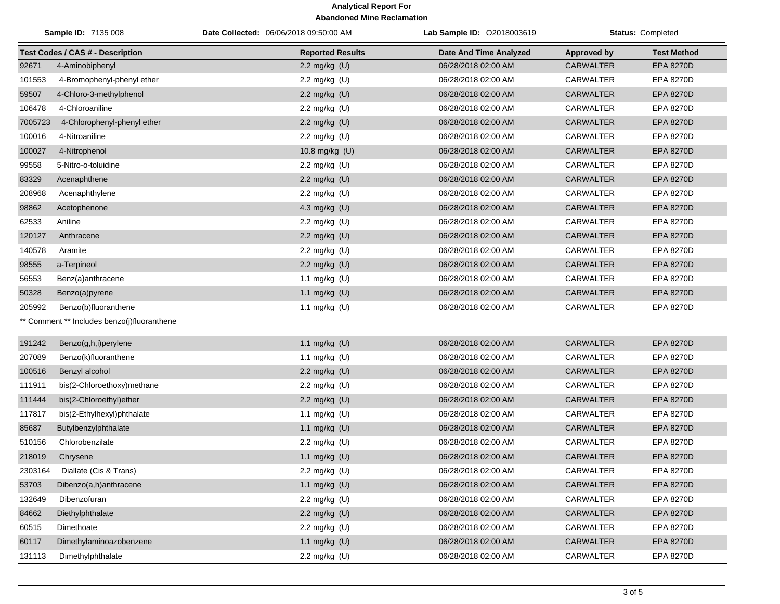## **Analytical Report For Abandoned Mine Reclamation**

|         | Sample ID: 7135 008                         | Date Collected: 06/06/2018 09:50:00 AM | Lab Sample ID: 02018003619 |                    | Status: Completed  |
|---------|---------------------------------------------|----------------------------------------|----------------------------|--------------------|--------------------|
|         | <b>Test Codes / CAS # - Description</b>     | <b>Reported Results</b>                | Date And Time Analyzed     | <b>Approved by</b> | <b>Test Method</b> |
| 92671   | 4-Aminobiphenyl                             | 2.2 mg/kg (U)                          | 06/28/2018 02:00 AM        | <b>CARWALTER</b>   | <b>EPA 8270D</b>   |
| 101553  | 4-Bromophenyl-phenyl ether                  | 2.2 mg/kg (U)                          | 06/28/2018 02:00 AM        | <b>CARWALTER</b>   | <b>EPA 8270D</b>   |
| 59507   | 4-Chloro-3-methylphenol                     | 2.2 mg/kg (U)                          | 06/28/2018 02:00 AM        | <b>CARWALTER</b>   | EPA 8270D          |
| 106478  | 4-Chloroaniline                             | 2.2 mg/kg (U)                          | 06/28/2018 02:00 AM        | CARWALTER          | EPA 8270D          |
| 7005723 | 4-Chlorophenyl-phenyl ether                 | 2.2 mg/kg (U)                          | 06/28/2018 02:00 AM        | <b>CARWALTER</b>   | EPA 8270D          |
| 100016  | 4-Nitroaniline                              | 2.2 mg/kg (U)                          | 06/28/2018 02:00 AM        | CARWALTER          | EPA 8270D          |
| 100027  | 4-Nitrophenol                               | 10.8 mg/kg (U)                         | 06/28/2018 02:00 AM        | <b>CARWALTER</b>   | EPA 8270D          |
| 99558   | 5-Nitro-o-toluidine                         | 2.2 mg/kg (U)                          | 06/28/2018 02:00 AM        | CARWALTER          | EPA 8270D          |
| 83329   | Acenaphthene                                | 2.2 mg/kg (U)                          | 06/28/2018 02:00 AM        | <b>CARWALTER</b>   | EPA 8270D          |
| 208968  | Acenaphthylene                              | 2.2 mg/kg (U)                          | 06/28/2018 02:00 AM        | <b>CARWALTER</b>   | EPA 8270D          |
| 98862   | Acetophenone                                | 4.3 mg/kg (U)                          | 06/28/2018 02:00 AM        | <b>CARWALTER</b>   | EPA 8270D          |
| 62533   | Aniline                                     | 2.2 mg/kg (U)                          | 06/28/2018 02:00 AM        | <b>CARWALTER</b>   | <b>EPA 8270D</b>   |
| 120127  | Anthracene                                  | 2.2 mg/kg (U)                          | 06/28/2018 02:00 AM        | <b>CARWALTER</b>   | EPA 8270D          |
| 140578  | Aramite                                     | 2.2 mg/kg (U)                          | 06/28/2018 02:00 AM        | CARWALTER          | EPA 8270D          |
| 98555   | a-Terpineol                                 | 2.2 mg/kg (U)                          | 06/28/2018 02:00 AM        | <b>CARWALTER</b>   | EPA 8270D          |
| 56553   | Benz(a)anthracene                           | 1.1 mg/kg (U)                          | 06/28/2018 02:00 AM        | CARWALTER          | <b>EPA 8270D</b>   |
| 50328   | Benzo(a)pyrene                              | 1.1 mg/kg (U)                          | 06/28/2018 02:00 AM        | <b>CARWALTER</b>   | EPA 8270D          |
| 205992  | Benzo(b)fluoranthene                        | 1.1 mg/kg (U)                          | 06/28/2018 02:00 AM        | CARWALTER          | EPA 8270D          |
|         | ** Comment ** Includes benzo(j)fluoranthene |                                        |                            |                    |                    |
| 191242  | Benzo(g,h,i)perylene                        | 1.1 mg/kg (U)                          | 06/28/2018 02:00 AM        | <b>CARWALTER</b>   | EPA 8270D          |
| 207089  | Benzo(k)fluoranthene                        | 1.1 mg/kg (U)                          | 06/28/2018 02:00 AM        | <b>CARWALTER</b>   | EPA 8270D          |
| 100516  | Benzyl alcohol                              | 2.2 mg/kg (U)                          | 06/28/2018 02:00 AM        | <b>CARWALTER</b>   | EPA 8270D          |
| 111911  | bis(2-Chloroethoxy)methane                  | 2.2 mg/kg (U)                          | 06/28/2018 02:00 AM        | CARWALTER          | EPA 8270D          |
| 111444  | bis(2-Chloroethyl)ether                     | 2.2 mg/kg (U)                          | 06/28/2018 02:00 AM        | <b>CARWALTER</b>   | EPA 8270D          |
| 117817  | bis(2-Ethylhexyl)phthalate                  | 1.1 mg/kg (U)                          | 06/28/2018 02:00 AM        | CARWALTER          | EPA 8270D          |
| 85687   | Butylbenzylphthalate                        | 1.1 mg/kg (U)                          | 06/28/2018 02:00 AM        | CARWALTER          | EPA 8270D          |
| 510156  | Chlorobenzilate                             | 2.2 mg/kg (U)                          | 06/28/2018 02:00 AM        | <b>CARWALTER</b>   | EPA 8270D          |
| 218019  | Chrysene                                    | 1.1 mg/kg (U)                          | 06/28/2018 02:00 AM        | <b>CARWALTER</b>   | EPA 8270D          |
| 2303164 | Diallate (Cis & Trans)                      | 2.2 mg/kg (U)                          | 06/28/2018 02:00 AM        | CARWALTER          | EPA 8270D          |
| 53703   | Dibenzo(a,h)anthracene                      | 1.1 mg/kg (U)                          | 06/28/2018 02:00 AM        | <b>CARWALTER</b>   | EPA 8270D          |
| 132649  | Dibenzofuran                                | 2.2 mg/kg (U)                          | 06/28/2018 02:00 AM        | <b>CARWALTER</b>   | EPA 8270D          |
| 84662   | Diethylphthalate                            | 2.2 mg/kg (U)                          | 06/28/2018 02:00 AM        | CARWALTER          | EPA 8270D          |
| 60515   | Dimethoate                                  | 2.2 mg/kg (U)                          | 06/28/2018 02:00 AM        | CARWALTER          | EPA 8270D          |
| 60117   | Dimethylaminoazobenzene                     | 1.1 mg/kg (U)                          | 06/28/2018 02:00 AM        | CARWALTER          | EPA 8270D          |
| 131113  | Dimethylphthalate                           | 2.2 mg/kg (U)                          | 06/28/2018 02:00 AM        | CARWALTER          | EPA 8270D          |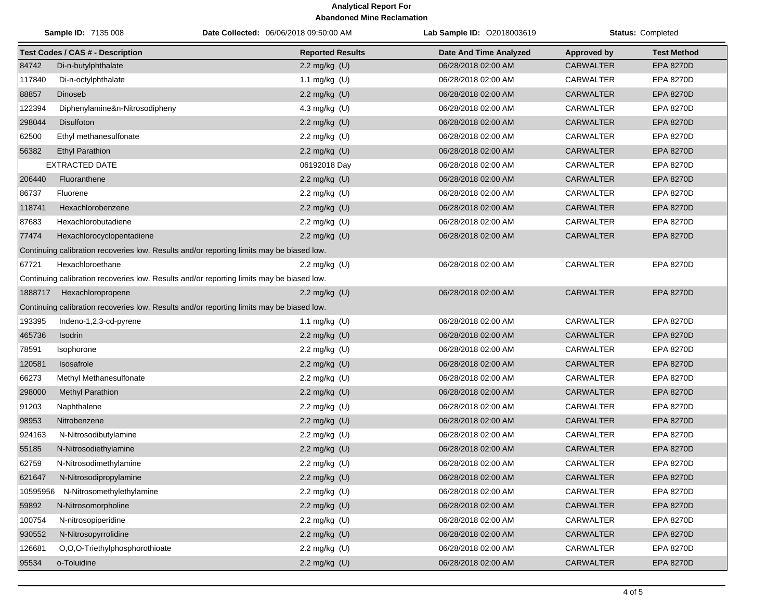## **Analytical Report For Abandoned Mine Reclamation**

|          | <b>Sample ID: 7135 008</b>              | Date Collected: 06/06/2018 09:50:00 AM                                                    | Lab Sample ID: 02018003619    |                    | <b>Status: Completed</b> |
|----------|-----------------------------------------|-------------------------------------------------------------------------------------------|-------------------------------|--------------------|--------------------------|
|          | <b>Test Codes / CAS # - Description</b> | <b>Reported Results</b>                                                                   | <b>Date And Time Analyzed</b> | <b>Approved by</b> | <b>Test Method</b>       |
| 84742    | Di-n-butylphthalate                     | 2.2 mg/kg (U)                                                                             | 06/28/2018 02:00 AM           | <b>CARWALTER</b>   | EPA 8270D                |
| 117840   | Di-n-octylphthalate                     | 1.1 mg/kg (U)                                                                             | 06/28/2018 02:00 AM           | CARWALTER          | EPA 8270D                |
| 88857    | Dinoseb                                 | 2.2 mg/kg (U)                                                                             | 06/28/2018 02:00 AM           | <b>CARWALTER</b>   | EPA 8270D                |
| 122394   | Diphenylamine&n-Nitrosodipheny          | 4.3 mg/kg (U)                                                                             | 06/28/2018 02:00 AM           | <b>CARWALTER</b>   | EPA 8270D                |
| 298044   | Disulfoton                              | 2.2 mg/kg (U)                                                                             | 06/28/2018 02:00 AM           | <b>CARWALTER</b>   | <b>EPA 8270D</b>         |
| 62500    | Ethyl methanesulfonate                  | 2.2 mg/kg (U)                                                                             | 06/28/2018 02:00 AM           | <b>CARWALTER</b>   | EPA 8270D                |
| 56382    | <b>Ethyl Parathion</b>                  | 2.2 mg/kg (U)                                                                             | 06/28/2018 02:00 AM           | <b>CARWALTER</b>   | <b>EPA 8270D</b>         |
|          | <b>EXTRACTED DATE</b>                   | 06192018 Day                                                                              | 06/28/2018 02:00 AM           | <b>CARWALTER</b>   | EPA 8270D                |
| 206440   | Fluoranthene                            | 2.2 mg/kg (U)                                                                             | 06/28/2018 02:00 AM           | <b>CARWALTER</b>   | <b>EPA 8270D</b>         |
| 86737    | Fluorene                                | 2.2 mg/kg (U)                                                                             | 06/28/2018 02:00 AM           | CARWALTER          | EPA 8270D                |
| 118741   | Hexachlorobenzene                       | 2.2 mg/kg (U)                                                                             | 06/28/2018 02:00 AM           | <b>CARWALTER</b>   | EPA 8270D                |
| 87683    | Hexachlorobutadiene                     | 2.2 mg/kg (U)                                                                             | 06/28/2018 02:00 AM           | CARWALTER          | EPA 8270D                |
| 77474    | Hexachlorocyclopentadiene               | 2.2 mg/kg (U)                                                                             | 06/28/2018 02:00 AM           | <b>CARWALTER</b>   | <b>EPA 8270D</b>         |
|          |                                         | Continuing calibration recoveries low. Results and/or reporting limits may be biased low. |                               |                    |                          |
| 67721    | Hexachloroethane                        | 2.2 mg/kg $(U)$                                                                           | 06/28/2018 02:00 AM           | <b>CARWALTER</b>   | EPA 8270D                |
|          |                                         | Continuing calibration recoveries low. Results and/or reporting limits may be biased low. |                               |                    |                          |
| 1888717  | Hexachloropropene                       | 2.2 mg/kg (U)                                                                             | 06/28/2018 02:00 AM           | <b>CARWALTER</b>   | <b>EPA 8270D</b>         |
|          |                                         | Continuing calibration recoveries low. Results and/or reporting limits may be biased low. |                               |                    |                          |
| 193395   | Indeno-1,2,3-cd-pyrene                  | 1.1 mg/kg (U)                                                                             | 06/28/2018 02:00 AM           | CARWALTER          | EPA 8270D                |
| 465736   | <b>Isodrin</b>                          | 2.2 mg/kg (U)                                                                             | 06/28/2018 02:00 AM           | <b>CARWALTER</b>   | <b>EPA 8270D</b>         |
| 78591    | Isophorone                              | 2.2 mg/kg (U)                                                                             | 06/28/2018 02:00 AM           | <b>CARWALTER</b>   | EPA 8270D                |
| 120581   | Isosafrole                              | 2.2 mg/kg (U)                                                                             | 06/28/2018 02:00 AM           | <b>CARWALTER</b>   | <b>EPA 8270D</b>         |
| 66273    | Methyl Methanesulfonate                 | 2.2 mg/kg (U)                                                                             | 06/28/2018 02:00 AM           | <b>CARWALTER</b>   | EPA 8270D                |
| 298000   | <b>Methyl Parathion</b>                 | 2.2 mg/kg (U)                                                                             | 06/28/2018 02:00 AM           | <b>CARWALTER</b>   | <b>EPA 8270D</b>         |
| 91203    | Naphthalene                             | 2.2 mg/kg (U)                                                                             | 06/28/2018 02:00 AM           | CARWALTER          | EPA 8270D                |
| 98953    | Nitrobenzene                            | 2.2 mg/kg (U)                                                                             | 06/28/2018 02:00 AM           | <b>CARWALTER</b>   | EPA 8270D                |
| 924163   | N-Nitrosodibutylamine                   | 2.2 mg/kg (U)                                                                             | 06/28/2018 02:00 AM           | CARWALTER          | EPA 8270D                |
| 55185    | N-Nitrosodiethylamine                   | 2.2 mg/kg (U)                                                                             | 06/28/2018 02:00 AM           | <b>CARWALTER</b>   | EPA 8270D                |
| 62759    | N-Nitrosodimethylamine                  | 2.2 mg/kg (U)                                                                             | 06/28/2018 02:00 AM           | CARWALTER          | EPA 8270D                |
| 621647   | N-Nitrosodipropylamine                  | 2.2 mg/kg (U)                                                                             | 06/28/2018 02:00 AM           | CARWALTER          | EPA 8270D                |
| 10595956 | N-Nitrosomethylethylamine               | 2.2 mg/kg (U)                                                                             | 06/28/2018 02:00 AM           | CARWALTER          | EPA 8270D                |
| 59892    | N-Nitrosomorpholine                     | 2.2 mg/kg (U)                                                                             | 06/28/2018 02:00 AM           | CARWALTER          | EPA 8270D                |
| 100754   | N-nitrosopiperidine                     | 2.2 mg/kg (U)                                                                             | 06/28/2018 02:00 AM           | <b>CARWALTER</b>   | EPA 8270D                |
| 930552   | N-Nitrosopyrrolidine                    | 2.2 mg/kg (U)                                                                             | 06/28/2018 02:00 AM           | CARWALTER          | EPA 8270D                |
| 126681   | O,O,O-Triethylphosphorothioate          | 2.2 mg/kg (U)                                                                             | 06/28/2018 02:00 AM           | <b>CARWALTER</b>   | EPA 8270D                |
| 95534    | o-Toluidine                             | 2.2 mg/kg (U)                                                                             | 06/28/2018 02:00 AM           | <b>CARWALTER</b>   | EPA 8270D                |